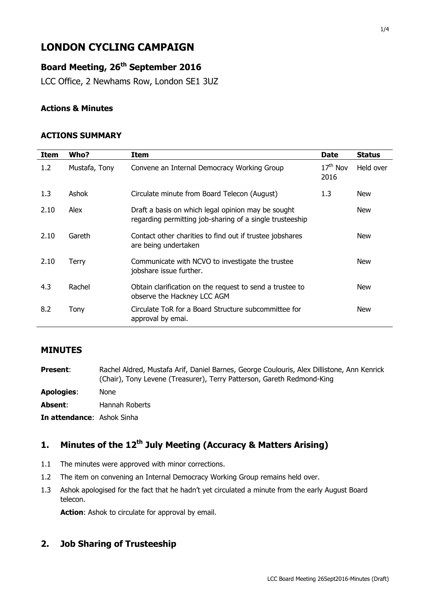# **LONDON CYCLING CAMPAIGN**

# **Board Meeting, 26th September 2016**

LCC Office, 2 Newhams Row, London SE1 3UZ

#### **Actions & Minutes**

#### **ACTIONS SUMMARY**

| Item | Who?          | Item                                                                                                           | <b>Date</b>        | <b>Status</b> |
|------|---------------|----------------------------------------------------------------------------------------------------------------|--------------------|---------------|
| 1.2  | Mustafa, Tony | Convene an Internal Democracy Working Group                                                                    | $17th$ Nov<br>2016 | Held over     |
| 1.3  | Ashok         | Circulate minute from Board Telecon (August)                                                                   | 1.3                | <b>New</b>    |
| 2.10 | Alex          | Draft a basis on which legal opinion may be sought<br>regarding permitting job-sharing of a single trusteeship |                    | <b>New</b>    |
| 2.10 | Gareth        | Contact other charities to find out if trustee jobshares<br>are being undertaken                               |                    | <b>New</b>    |
| 2.10 | Terry         | Communicate with NCVO to investigate the trustee<br>jobshare issue further.                                    |                    | <b>New</b>    |
| 4.3  | Rachel        | Obtain clarification on the request to send a trustee to<br>observe the Hackney LCC AGM                        |                    | <b>New</b>    |
| 8.2  | Tony          | Circulate ToR for a Board Structure subcommittee for<br>approval by emai.                                      |                    | <b>New</b>    |

### **MINUTES**

| <b>Present:</b>                   | Rachel Aldred, Mustafa Arif, Daniel Barnes, George Coulouris, Alex Dillistone, Ann Kenrick<br>(Chair), Tony Levene (Treasurer), Terry Patterson, Gareth Redmond-King |
|-----------------------------------|----------------------------------------------------------------------------------------------------------------------------------------------------------------------|
| <b>Apologies:</b>                 | <b>None</b>                                                                                                                                                          |
| Absent:                           | Hannah Roberts                                                                                                                                                       |
| <b>In attendance:</b> Ashok Sinha |                                                                                                                                                                      |

# **1. Minutes of the 12th July Meeting (Accuracy & Matters Arising)**

- 1.1 The minutes were approved with minor corrections.
- 1.2 The item on convening an Internal Democracy Working Group remains held over.
- 1.3 Ashok apologised for the fact that he hadn't yet circulated a minute from the early August Board telecon.

**Action**: Ashok to circulate for approval by email.

### **2. Job Sharing of Trusteeship**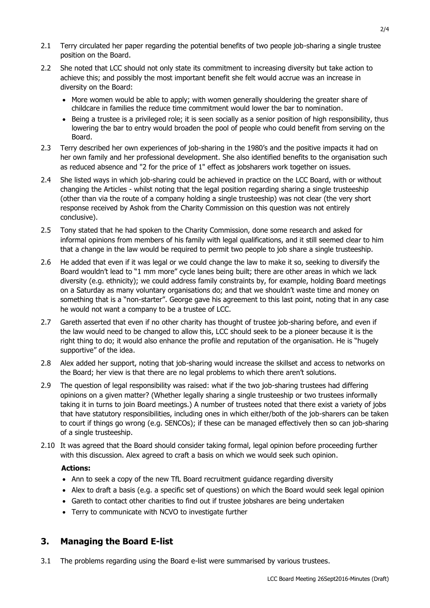- 2.1 Terry circulated her paper regarding the potential benefits of two people job-sharing a single trustee position on the Board.
- 2.2 She noted that LCC should not only state its commitment to increasing diversity but take action to achieve this; and possibly the most important benefit she felt would accrue was an increase in diversity on the Board:
	- More women would be able to apply: with women generally shouldering the greater share of childcare in families the reduce time commitment would lower the bar to nomination.
	- Being a trustee is a privileged role; it is seen socially as a senior position of high responsibility, thus lowering the bar to entry would broaden the pool of people who could benefit from serving on the Board.
- 2.3 Terry described her own experiences of job-sharing in the 1980's and the positive impacts it had on her own family and her professional development. She also identified benefits to the organisation such as reduced absence and "2 for the price of 1" effect as jobsharers work together on issues.
- 2.4 She listed ways in which job-sharing could be achieved in practice on the LCC Board, with or without changing the Articles - whilst noting that the legal position regarding sharing a single trusteeship (other than via the route of a company holding a single trusteeship) was not clear (the very short response received by Ashok from the Charity Commission on this question was not entirely conclusive).
- 2.5 Tony stated that he had spoken to the Charity Commission, done some research and asked for informal opinions from members of his family with legal qualifications, and it still seemed clear to him that a change in the law would be required to permit two people to job share a single trusteeship.
- 2.6 He added that even if it was legal or we could change the law to make it so, seeking to diversify the Board wouldn't lead to "1 mm more" cycle lanes being built; there are other areas in which we lack diversity (e.g. ethnicity); we could address family constraints by, for example, holding Board meetings on a Saturday as many voluntary organisations do; and that we shouldn't waste time and money on something that is a "non-starter". George gave his agreement to this last point, noting that in any case he would not want a company to be a trustee of LCC.
- 2.7 Gareth asserted that even if no other charity has thought of trustee job-sharing before, and even if the law would need to be changed to allow this, LCC should seek to be a pioneer because it is the right thing to do; it would also enhance the profile and reputation of the organisation. He is "hugely supportive" of the idea.
- 2.8 Alex added her support, noting that job-sharing would increase the skillset and access to networks on the Board; her view is that there are no legal problems to which there aren't solutions.
- 2.9 The question of legal responsibility was raised: what if the two job-sharing trustees had differing opinions on a given matter? (Whether legally sharing a single trusteeship or two trustees informally taking it in turns to join Board meetings.) A number of trustees noted that there exist a variety of jobs that have statutory responsibilities, including ones in which either/both of the job-sharers can be taken to court if things go wrong (e.g. SENCOs); if these can be managed effectively then so can job-sharing of a single trusteeship.
- 2.10 It was agreed that the Board should consider taking formal, legal opinion before proceeding further with this discussion. Alex agreed to craft a basis on which we would seek such opinion.

#### **Actions:**

- Ann to seek a copy of the new TfL Board recruitment guidance regarding diversity
- Alex to draft a basis (e.g. a specific set of questions) on which the Board would seek legal opinion
- Gareth to contact other charities to find out if trustee jobshares are being undertaken
- Terry to communicate with NCVO to investigate further

#### **3. Managing the Board E-list**

3.1 The problems regarding using the Board e-list were summarised by various trustees.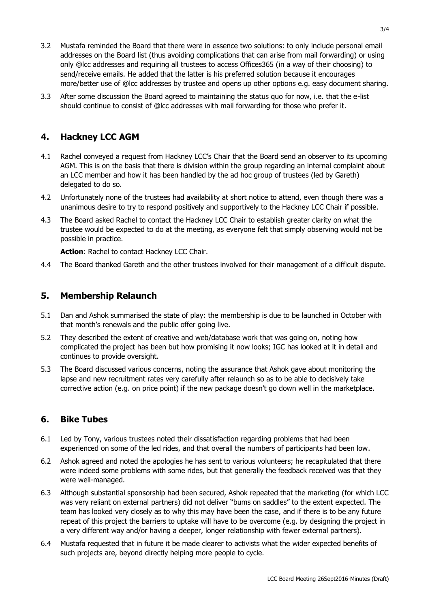- 3.2 Mustafa reminded the Board that there were in essence two solutions: to only include personal email addresses on the Board list (thus avoiding complications that can arise from mail forwarding) or using only @lcc addresses and requiring all trustees to access Offices365 (in a way of their choosing) to send/receive emails. He added that the latter is his preferred solution because it encourages more/better use of @lcc addresses by trustee and opens up other options e.g. easy document sharing.
- 3.3 After some discussion the Board agreed to maintaining the status quo for now, i.e. that the e-list should continue to consist of @lcc addresses with mail forwarding for those who prefer it.

### **4. Hackney LCC AGM**

- 4.1 Rachel conveyed a request from Hackney LCC's Chair that the Board send an observer to its upcoming AGM. This is on the basis that there is division within the group regarding an internal complaint about an LCC member and how it has been handled by the ad hoc group of trustees (led by Gareth) delegated to do so.
- 4.2 Unfortunately none of the trustees had availability at short notice to attend, even though there was a unanimous desire to try to respond positively and supportively to the Hackney LCC Chair if possible.
- 4.3 The Board asked Rachel to contact the Hackney LCC Chair to establish greater clarity on what the trustee would be expected to do at the meeting, as everyone felt that simply observing would not be possible in practice.

**Action**: Rachel to contact Hackney LCC Chair.

4.4 The Board thanked Gareth and the other trustees involved for their management of a difficult dispute.

#### **5. Membership Relaunch**

- 5.1 Dan and Ashok summarised the state of play: the membership is due to be launched in October with that month's renewals and the public offer going live.
- 5.2 They described the extent of creative and web/database work that was going on, noting how complicated the project has been but how promising it now looks; IGC has looked at it in detail and continues to provide oversight.
- 5.3 The Board discussed various concerns, noting the assurance that Ashok gave about monitoring the lapse and new recruitment rates very carefully after relaunch so as to be able to decisively take corrective action (e.g. on price point) if the new package doesn't go down well in the marketplace.

#### **6. Bike Tubes**

- 6.1 Led by Tony, various trustees noted their dissatisfaction regarding problems that had been experienced on some of the led rides, and that overall the numbers of participants had been low.
- 6.2 Ashok agreed and noted the apologies he has sent to various volunteers; he recapitulated that there were indeed some problems with some rides, but that generally the feedback received was that they were well-managed.
- 6.3 Although substantial sponsorship had been secured, Ashok repeated that the marketing (for which LCC was very reliant on external partners) did not deliver "bums on saddles" to the extent expected. The team has looked very closely as to why this may have been the case, and if there is to be any future repeat of this project the barriers to uptake will have to be overcome (e.g. by designing the project in a very different way and/or having a deeper, longer relationship with fewer external partners).
- 6.4 Mustafa requested that in future it be made clearer to activists what the wider expected benefits of such projects are, beyond directly helping more people to cycle.